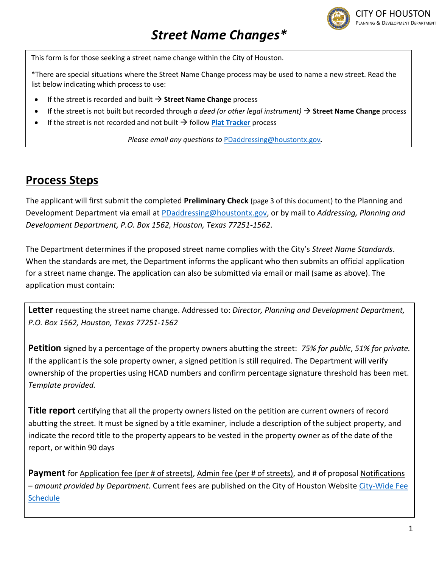

## *Street Name Changes\**

This form is for those seeking a street name change within the City of Houston.

\*There are special situations where the Street Name Change process may be used to name a new street. Read the list below indicating which process to use:

- If the street is recorded and built → **Street Name Change** process
- If the street is not built but recorded through *a deed (or other legal instrument)* → **Street Name Change** process
- If the street is not recorded and not built  $\rightarrow$  follow **[Plat Tracker](https://plattracker.houstontx.gov/edrc/Login.aspx)** process

*Please email any questions to* [PDaddressing@houstontx.gov](mailto:PDaddressing@houstontx.gov)*.*

## **Process Steps**

The applicant will first submit the completed **Preliminary Check** (page 3 of this document) to the Planning and Development Department via email at [PDaddressing@houstontx.gov,](mailto:PDaddressing@houstontx.gov) or by mail to *Addressing, Planning and Development Department, P.O. Box 1562, Houston, Texas 77251-1562*.

The Department determines if the proposed street name complies with the City's *Street Name Standards*. When the standards are met, the Department informs the applicant who then submits an official application for a street name change. The application can also be submitted via email or mail (same as above). The application must contain:

**Letter** requesting the street name change. Addressed to: *Director, Planning and Development Department, P.O. Box 1562, Houston, Texas 77251-1562*

**Petition** signed by a percentage of the property owners abutting the street: *75% for public*, *51% for private.*  If the applicant is the sole property owner, a signed petition is still required. The Department will verify ownership of the properties using HCAD numbers and confirm percentage signature threshold has been met. *Template provided.*

**Title report** certifying that all the property owners listed on the petition are current owners of record abutting the street. It must be signed by a title examiner, include a description of the subject property, and indicate the record title to the property appears to be vested in the property owner as of the date of the report, or within 90 days

Payment for Application fee (per # of streets), Admin fee (per # of streets), and # of proposal Notifications – *amount provided by Department.* Current fees are published on the City of Houston Website [City-Wide Fee](https://cohweb.houstontx.gov/FIN_FeeSchedule/default.aspx)  **[Schedule](https://cohweb.houstontx.gov/FIN_FeeSchedule/default.aspx)**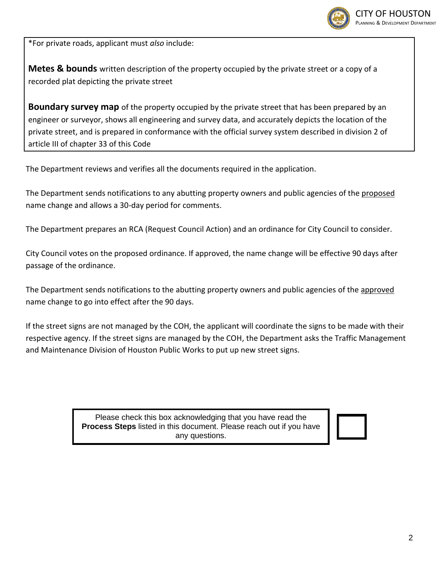

\*For private roads, applicant must *also* include:

**Metes & bounds** written description of the property occupied by the private street or a copy of a recorded plat depicting the private street

**Boundary survey map** of the property occupied by the private street that has been prepared by an engineer or surveyor, shows all engineering and survey data, and accurately depicts the location of the private street, and is prepared in conformance with the official survey system described in division 2 of article III of chapter 33 of this Code

The Department reviews and verifies all the documents required in the application.

The Department sends notifications to any abutting property owners and public agencies of the proposed name change and allows a 30-day period for comments.

The Department prepares an RCA (Request Council Action) and an ordinance for City Council to consider.

City Council votes on the proposed ordinance. If approved, the name change will be effective 90 days after passage of the ordinance.

The Department sends notifications to the abutting property owners and public agencies of the approved name change to go into effect after the 90 days.

If the street signs are not managed by the COH, the applicant will coordinate the signs to be made with their respective agency. If the street signs are managed by the COH, the Department asks the Traffic Management and Maintenance Division of Houston Public Works to put up new street signs.

> Please check this box acknowledging that you have read the **Process Steps** listed in this document. Please reach out if you have any questions.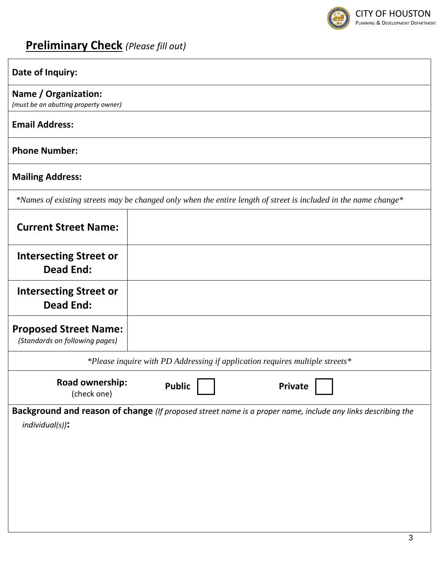

# **Preliminary Check** *(Please fill out)*

| Date of Inquiry:                                               |                                                                                                                 |
|----------------------------------------------------------------|-----------------------------------------------------------------------------------------------------------------|
| Name / Organization:<br>(must be an abutting property owner)   |                                                                                                                 |
| <b>Email Address:</b>                                          |                                                                                                                 |
| <b>Phone Number:</b>                                           |                                                                                                                 |
| <b>Mailing Address:</b>                                        |                                                                                                                 |
|                                                                | *Names of existing streets may be changed only when the entire length of street is included in the name change* |
| <b>Current Street Name:</b>                                    |                                                                                                                 |
| <b>Intersecting Street or</b><br><b>Dead End:</b>              |                                                                                                                 |
| <b>Intersecting Street or</b><br><b>Dead End:</b>              |                                                                                                                 |
| <b>Proposed Street Name:</b><br>(Standards on following pages) |                                                                                                                 |
|                                                                | *Please inquire with PD Addressing if application requires multiple streets*                                    |
| Road ownership:<br>(check one)                                 | <b>Public</b><br><b>Private</b>                                                                                 |
| $individual(s)$ ):                                             | Background and reason of change (If proposed street name is a proper name, include any links describing the     |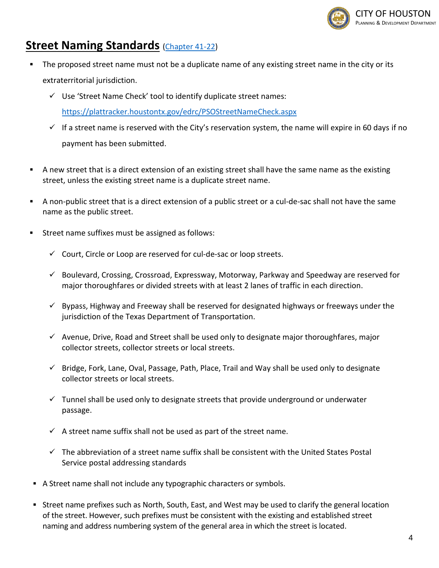

### **Street Naming Standards** [\(Chapter 41-22\)](https://library.municode.com/tx/houston/codes/code_of_ordinances?nodeId=COOR_CH41STNASIAD_ARTIIST_DIV1STNASIAD_S41-22STNA)

- The proposed street name must not be a duplicate name of any existing street name in the city or its extraterritorial jurisdiction.
	- ✓ Use 'Street Name Check' tool to identify duplicate street names: <https://plattracker.houstontx.gov/edrc/PSOStreetNameCheck.aspx>
	- $\checkmark$  If a street name is reserved with the City's reservation system, the name will expire in 60 days if no payment has been submitted.
- **•** A new street that is a direct extension of an existing street shall have the same name as the existing street, unless the existing street name is a duplicate street name.
- A non-public street that is a direct extension of a public street or a cul-de-sac shall not have the same name as the public street.
- Street name suffixes must be assigned as follows:
	- ✓ Court, Circle or Loop are reserved for cul-de-sac or loop streets.
	- $\checkmark$  Boulevard, Crossing, Crossroad, Expressway, Motorway, Parkway and Speedway are reserved for major thoroughfares or divided streets with at least 2 lanes of traffic in each direction.
	- $\checkmark$  Bypass, Highway and Freeway shall be reserved for designated highways or freeways under the jurisdiction of the Texas Department of Transportation.
	- ✓ Avenue, Drive, Road and Street shall be used only to designate major thoroughfares, major collector streets, collector streets or local streets.
	- $\checkmark$  Bridge, Fork, Lane, Oval, Passage, Path, Place, Trail and Way shall be used only to designate collector streets or local streets.
	- $\checkmark$  Tunnel shall be used only to designate streets that provide underground or underwater passage.
	- $\checkmark$  A street name suffix shall not be used as part of the street name.
	- $\checkmark$  The abbreviation of a street name suffix shall be consistent with the United States Postal Service postal addressing standards
- A Street name shall not include any typographic characters or symbols.
- Street name prefixes such as North, South, East, and West may be used to clarify the general location of the street. However, such prefixes must be consistent with the existing and established street naming and address numbering system of the general area in which the street is located.